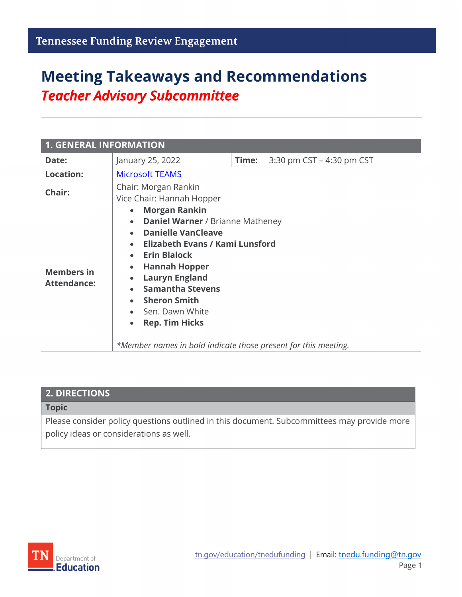# **Meeting Takeaways and Recommendations** *Teacher Advisory Subcommittee*

| <b>1. GENERAL INFORMATION</b>           |                                                                                                                                                                                                                                                                                                                                                                                                                                                   |       |                           |  |
|-----------------------------------------|---------------------------------------------------------------------------------------------------------------------------------------------------------------------------------------------------------------------------------------------------------------------------------------------------------------------------------------------------------------------------------------------------------------------------------------------------|-------|---------------------------|--|
| Date:                                   | January 25, 2022                                                                                                                                                                                                                                                                                                                                                                                                                                  | Time: | 3:30 pm CST - 4:30 pm CST |  |
| <b>Location:</b>                        | <b>Microsoft TEAMS</b>                                                                                                                                                                                                                                                                                                                                                                                                                            |       |                           |  |
| Chair:                                  | Chair: Morgan Rankin<br>Vice Chair: Hannah Hopper                                                                                                                                                                                                                                                                                                                                                                                                 |       |                           |  |
| <b>Members in</b><br><b>Attendance:</b> | <b>Morgan Rankin</b><br>$\bullet$<br><b>Daniel Warner / Brianne Matheney</b><br>$\bullet$<br><b>Danielle VanCleave</b><br><b>Elizabeth Evans / Kami Lunsford</b><br><b>Erin Blalock</b><br><b>Hannah Hopper</b><br>$\bullet$<br><b>Lauryn England</b><br><b>Samantha Stevens</b><br><b>Sheron Smith</b><br>$\bullet$<br>- Sen. Dawn White<br><b>Rep. Tim Hicks</b><br>$\bullet$<br>*Member names in bold indicate those present for this meeting. |       |                           |  |

#### **2. DIRECTIONS**

**Topic**

Please consider policy questions outlined in this document. Subcommittees may provide more policy ideas or considerations as well.

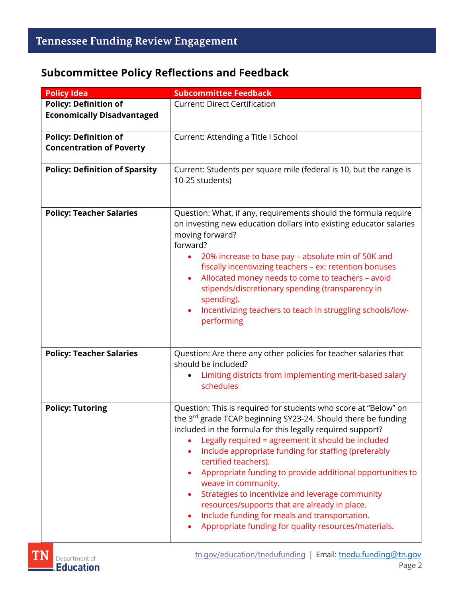### **Subcommittee Policy Reflections and Feedback**

| <b>Policy Idea</b>                                                | <b>Subcommittee Feedback</b>                                                                                                                                                                                                                                                                                                                                                                                                                                                                                                                                                                                                            |  |
|-------------------------------------------------------------------|-----------------------------------------------------------------------------------------------------------------------------------------------------------------------------------------------------------------------------------------------------------------------------------------------------------------------------------------------------------------------------------------------------------------------------------------------------------------------------------------------------------------------------------------------------------------------------------------------------------------------------------------|--|
| <b>Policy: Definition of</b><br><b>Economically Disadvantaged</b> | <b>Current: Direct Certification</b>                                                                                                                                                                                                                                                                                                                                                                                                                                                                                                                                                                                                    |  |
| <b>Policy: Definition of</b><br><b>Concentration of Poverty</b>   | Current: Attending a Title I School                                                                                                                                                                                                                                                                                                                                                                                                                                                                                                                                                                                                     |  |
| <b>Policy: Definition of Sparsity</b>                             | Current: Students per square mile (federal is 10, but the range is<br>10-25 students)                                                                                                                                                                                                                                                                                                                                                                                                                                                                                                                                                   |  |
| <b>Policy: Teacher Salaries</b>                                   | Question: What, if any, requirements should the formula require<br>on investing new education dollars into existing educator salaries<br>moving forward?<br>forward?<br>20% increase to base pay - absolute min of 50K and<br>fiscally incentivizing teachers - ex: retention bonuses<br>Allocated money needs to come to teachers - avoid<br>٠<br>stipends/discretionary spending (transparency in<br>spending).<br>Incentivizing teachers to teach in struggling schools/low-<br>performing                                                                                                                                           |  |
| <b>Policy: Teacher Salaries</b>                                   | Question: Are there any other policies for teacher salaries that<br>should be included?<br>Limiting districts from implementing merit-based salary<br>schedules                                                                                                                                                                                                                                                                                                                                                                                                                                                                         |  |
| <b>Policy: Tutoring</b>                                           | Question: This is required for students who score at "Below" on<br>the 3rd grade TCAP beginning SY23-24. Should there be funding<br>included in the formula for this legally required support?<br>Legally required = agreement it should be included<br>Include appropriate funding for staffing (preferably<br>certified teachers).<br>Appropriate funding to provide additional opportunities to<br>weave in community.<br>Strategies to incentivize and leverage community<br>resources/supports that are already in place.<br>Include funding for meals and transportation.<br>Appropriate funding for quality resources/materials. |  |

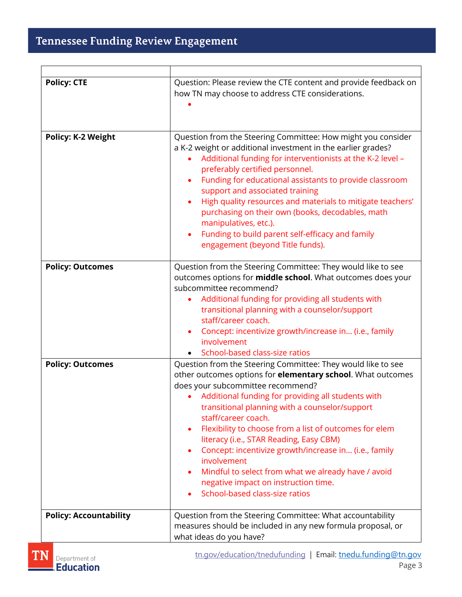| <b>Policy: CTE</b>            | Question: Please review the CTE content and provide feedback on<br>how TN may choose to address CTE considerations.                                                                                                                                                                                                                                                                                                                                                                                                                                                                                                |
|-------------------------------|--------------------------------------------------------------------------------------------------------------------------------------------------------------------------------------------------------------------------------------------------------------------------------------------------------------------------------------------------------------------------------------------------------------------------------------------------------------------------------------------------------------------------------------------------------------------------------------------------------------------|
| <b>Policy: K-2 Weight</b>     | Question from the Steering Committee: How might you consider<br>a K-2 weight or additional investment in the earlier grades?<br>Additional funding for interventionists at the K-2 level -<br>preferably certified personnel.<br>Funding for educational assistants to provide classroom<br>support and associated training<br>High quality resources and materials to mitigate teachers'<br>purchasing on their own (books, decodables, math<br>manipulatives, etc.).<br>Funding to build parent self-efficacy and family<br>engagement (beyond Title funds).                                                     |
| <b>Policy: Outcomes</b>       | Question from the Steering Committee: They would like to see<br>outcomes options for <b>middle school</b> . What outcomes does your<br>subcommittee recommend?<br>Additional funding for providing all students with<br>transitional planning with a counselor/support<br>staff/career coach.<br>Concept: incentivize growth/increase in (i.e., family<br>$\bullet$<br>involvement<br>School-based class-size ratios                                                                                                                                                                                               |
| <b>Policy: Outcomes</b>       | Question from the Steering Committee: They would like to see<br>other outcomes options for elementary school. What outcomes<br>does your subcommittee recommend?<br>Additional funding for providing all students with<br>transitional planning with a counselor/support<br>staff/career coach.<br>Flexibility to choose from a list of outcomes for elem<br>٠<br>literacy (i.e., STAR Reading, Easy CBM)<br>Concept: incentivize growth/increase in (i.e., family<br>involvement<br>Mindful to select from what we already have / avoid<br>negative impact on instruction time.<br>School-based class-size ratios |
| <b>Policy: Accountability</b> | Question from the Steering Committee: What accountability<br>measures should be included in any new formula proposal, or<br>what ideas do you have?                                                                                                                                                                                                                                                                                                                                                                                                                                                                |

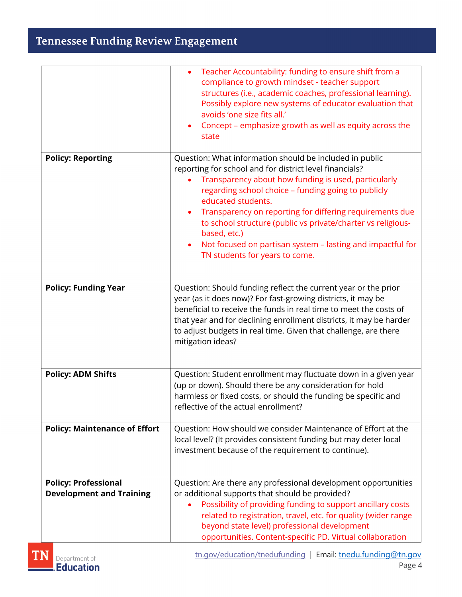## Tennessee Funding Review Engagement

|                                                                | Teacher Accountability: funding to ensure shift from a<br>compliance to growth mindset - teacher support<br>structures (i.e., academic coaches, professional learning).<br>Possibly explore new systems of educator evaluation that<br>avoids 'one size fits all.'<br>Concept - emphasize growth as well as equity across the<br>state                                                                                                                                                              |  |
|----------------------------------------------------------------|-----------------------------------------------------------------------------------------------------------------------------------------------------------------------------------------------------------------------------------------------------------------------------------------------------------------------------------------------------------------------------------------------------------------------------------------------------------------------------------------------------|--|
| <b>Policy: Reporting</b>                                       | Question: What information should be included in public<br>reporting for school and for district level financials?<br>Transparency about how funding is used, particularly<br>regarding school choice - funding going to publicly<br>educated students.<br>Transparency on reporting for differing requirements due<br>to school structure (public vs private/charter vs religious-<br>based, etc.)<br>Not focused on partisan system - lasting and impactful for<br>TN students for years to come. |  |
| <b>Policy: Funding Year</b>                                    | Question: Should funding reflect the current year or the prior<br>year (as it does now)? For fast-growing districts, it may be<br>beneficial to receive the funds in real time to meet the costs of<br>that year and for declining enrollment districts, it may be harder<br>to adjust budgets in real time. Given that challenge, are there<br>mitigation ideas?                                                                                                                                   |  |
| <b>Policy: ADM Shifts</b>                                      | Question: Student enrollment may fluctuate down in a given year<br>(up or down). Should there be any consideration for hold<br>harmless or fixed costs, or should the funding be specific and<br>reflective of the actual enrollment?                                                                                                                                                                                                                                                               |  |
| <b>Policy: Maintenance of Effort</b>                           | Question: How should we consider Maintenance of Effort at the<br>local level? (It provides consistent funding but may deter local<br>investment because of the requirement to continue).                                                                                                                                                                                                                                                                                                            |  |
| <b>Policy: Professional</b><br><b>Development and Training</b> | Question: Are there any professional development opportunities<br>or additional supports that should be provided?<br>Possibility of providing funding to support ancillary costs<br>related to registration, travel, etc. for quality (wider range<br>beyond state level) professional development<br>opportunities. Content-specific PD. Virtual collaboration                                                                                                                                     |  |